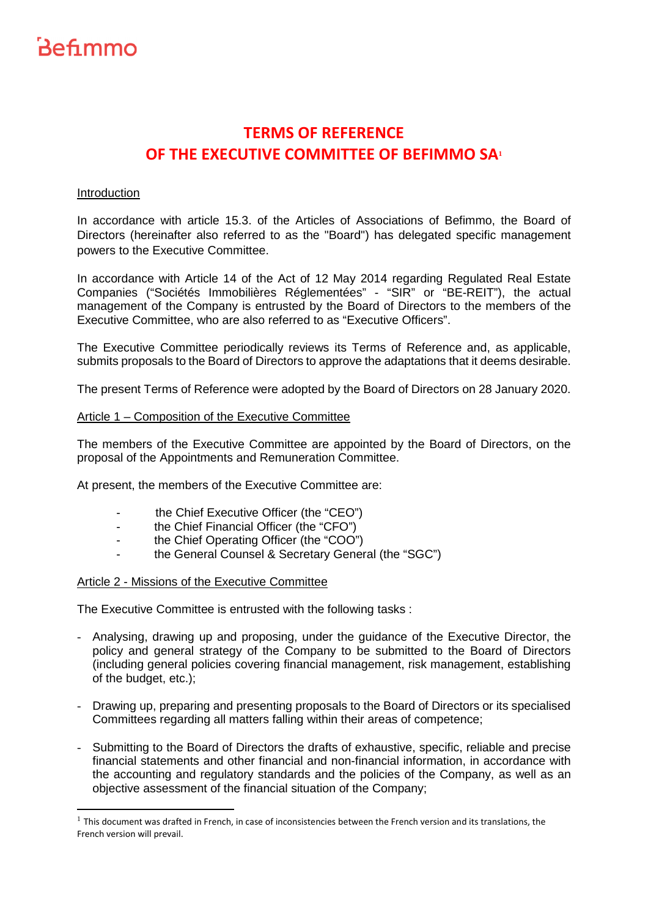# **TERMS OF REFERENCE OF THE EXECUTIVE COMMITTEE OF BEFIMMO SA<sup>1</sup>**

### Introduction

ı

In accordance with article 15.3. of the Articles of Associations of Befimmo, the Board of Directors (hereinafter also referred to as the "Board") has delegated specific management powers to the Executive Committee.

In accordance with Article 14 of the Act of 12 May 2014 regarding Regulated Real Estate Companies ("Sociétés Immobilières Réglementées" - "SIR" or "BE-REIT"), the actual management of the Company is entrusted by the Board of Directors to the members of the Executive Committee, who are also referred to as "Executive Officers".

The Executive Committee periodically reviews its Terms of Reference and, as applicable, submits proposals to the Board of Directors to approve the adaptations that it deems desirable.

The present Terms of Reference were adopted by the Board of Directors on 28 January 2020.

### Article 1 – Composition of the Executive Committee

The members of the Executive Committee are appointed by the Board of Directors, on the proposal of the Appointments and Remuneration Committee.

At present, the members of the Executive Committee are:

- the Chief Executive Officer (the "CEO")
- the Chief Financial Officer (the "CFO")
- the Chief Operating Officer (the "COO")
- the General Counsel & Secretary General (the "SGC")

#### Article 2 - Missions of the Executive Committee

The Executive Committee is entrusted with the following tasks :

- Analysing, drawing up and proposing, under the guidance of the Executive Director, the policy and general strategy of the Company to be submitted to the Board of Directors (including general policies covering financial management, risk management, establishing of the budget, etc.);
- Drawing up, preparing and presenting proposals to the Board of Directors or its specialised Committees regarding all matters falling within their areas of competence;
- Submitting to the Board of Directors the drafts of exhaustive, specific, reliable and precise financial statements and other financial and non-financial information, in accordance with the accounting and regulatory standards and the policies of the Company, as well as an objective assessment of the financial situation of the Company;

 $<sup>1</sup>$  This document was drafted in French, in case of inconsistencies between the French version and its translations, the</sup> French version will prevail.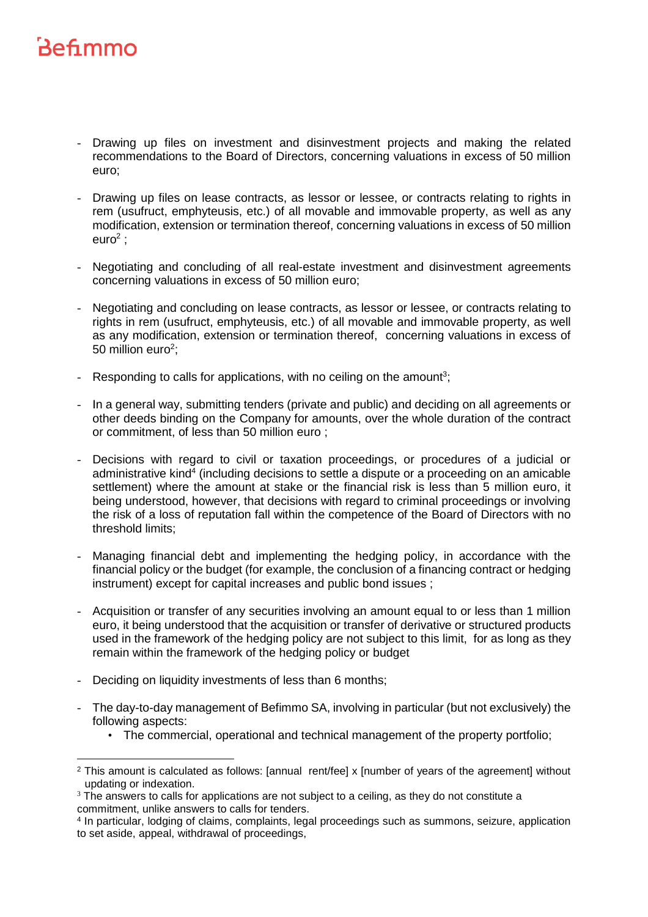- Drawing up files on investment and disinvestment projects and making the related recommendations to the Board of Directors, concerning valuations in excess of 50 million euro;
- Drawing up files on lease contracts, as lessor or lessee, or contracts relating to rights in rem (usufruct, emphyteusis, etc.) of all movable and immovable property, as well as any modification, extension or termination thereof, concerning valuations in excess of 50 million euro $^2$  ;
- Negotiating and concluding of all real-estate investment and disinvestment agreements concerning valuations in excess of 50 million euro;
- Negotiating and concluding on lease contracts, as lessor or lessee, or contracts relating to rights in rem (usufruct, emphyteusis, etc.) of all movable and immovable property, as well as any modification, extension or termination thereof, concerning valuations in excess of 50 million euro<sup>2</sup>;
- Responding to calls for applications, with no ceiling on the amount<sup>3</sup>;
- In a general way, submitting tenders (private and public) and deciding on all agreements or other deeds binding on the Company for amounts, over the whole duration of the contract or commitment, of less than 50 million euro ;
- Decisions with regard to civil or taxation proceedings, or procedures of a judicial or administrative kind<sup>4</sup> (including decisions to settle a dispute or a proceeding on an amicable settlement) where the amount at stake or the financial risk is less than 5 million euro, it being understood, however, that decisions with regard to criminal proceedings or involving the risk of a loss of reputation fall within the competence of the Board of Directors with no threshold limits;
- Managing financial debt and implementing the hedging policy, in accordance with the financial policy or the budget (for example, the conclusion of a financing contract or hedging instrument) except for capital increases and public bond issues ;
- Acquisition or transfer of any securities involving an amount equal to or less than 1 million euro, it being understood that the acquisition or transfer of derivative or structured products used in the framework of the hedging policy are not subject to this limit, for as long as they remain within the framework of the hedging policy or budget
- Deciding on liquidity investments of less than 6 months;
- The day-to-day management of Befimmo SA, involving in particular (but not exclusively) the following aspects:
	- The commercial, operational and technical management of the property portfolio;

<sup>&</sup>lt;sup>2</sup> This amount is calculated as follows: [annual rent/fee] x [number of years of the agreement] without updating or indexation.

 $3$  The answers to calls for applications are not subject to a ceiling, as they do not constitute a commitment, unlike answers to calls for tenders.

<sup>4</sup> In particular, lodging of claims, complaints, legal proceedings such as summons, seizure, application to set aside, appeal, withdrawal of proceedings,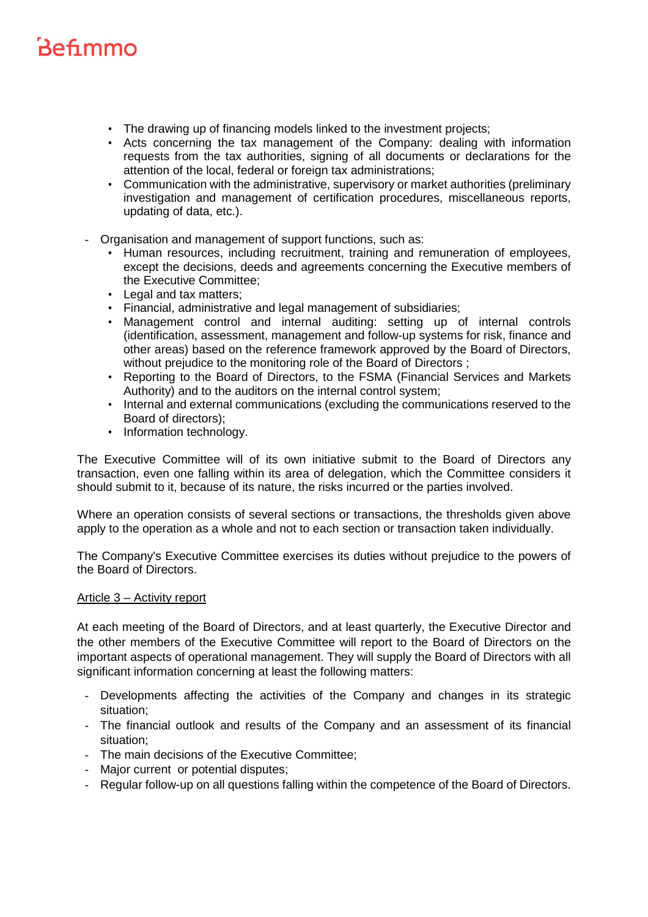- The drawing up of financing models linked to the investment projects;
- Acts concerning the tax management of the Company: dealing with information requests from the tax authorities, signing of all documents or declarations for the attention of the local, federal or foreign tax administrations;
- Communication with the administrative, supervisory or market authorities (preliminary investigation and management of certification procedures, miscellaneous reports, updating of data, etc.).
- Organisation and management of support functions, such as:
	- Human resources, including recruitment, training and remuneration of employees, except the decisions, deeds and agreements concerning the Executive members of the Executive Committee;
	- Legal and tax matters;
	- Financial, administrative and legal management of subsidiaries;
	- Management control and internal auditing: setting up of internal controls (identification, assessment, management and follow-up systems for risk, finance and other areas) based on the reference framework approved by the Board of Directors, without prejudice to the monitoring role of the Board of Directors ;
	- Reporting to the Board of Directors, to the FSMA (Financial Services and Markets Authority) and to the auditors on the internal control system;
	- Internal and external communications (excluding the communications reserved to the Board of directors);
	- Information technology.

The Executive Committee will of its own initiative submit to the Board of Directors any transaction, even one falling within its area of delegation, which the Committee considers it should submit to it, because of its nature, the risks incurred or the parties involved.

Where an operation consists of several sections or transactions, the thresholds given above apply to the operation as a whole and not to each section or transaction taken individually.

The Company's Executive Committee exercises its duties without prejudice to the powers of the Board of Directors.

#### Article 3 – Activity report

At each meeting of the Board of Directors, and at least quarterly, the Executive Director and the other members of the Executive Committee will report to the Board of Directors on the important aspects of operational management. They will supply the Board of Directors with all significant information concerning at least the following matters:

- Developments affecting the activities of the Company and changes in its strategic situation;
- The financial outlook and results of the Company and an assessment of its financial situation;
- The main decisions of the Executive Committee;
- Major current or potential disputes:
- Regular follow-up on all questions falling within the competence of the Board of Directors.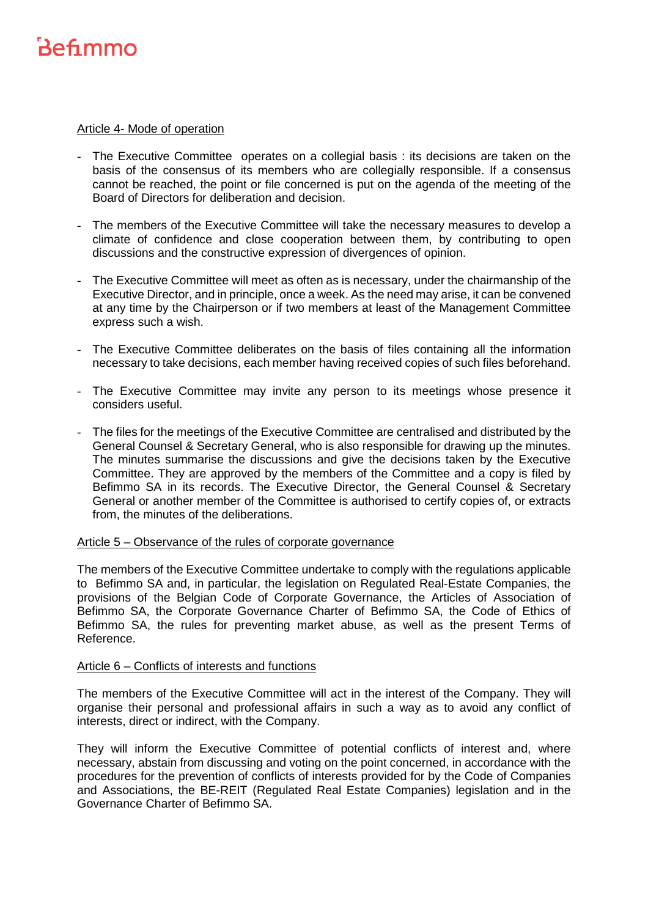### Article 4- Mode of operation

- The Executive Committee operates on a collegial basis : its decisions are taken on the basis of the consensus of its members who are collegially responsible. If a consensus cannot be reached, the point or file concerned is put on the agenda of the meeting of the Board of Directors for deliberation and decision.
- The members of the Executive Committee will take the necessary measures to develop a climate of confidence and close cooperation between them, by contributing to open discussions and the constructive expression of divergences of opinion.
- The Executive Committee will meet as often as is necessary, under the chairmanship of the Executive Director, and in principle, once a week. As the need may arise, it can be convened at any time by the Chairperson or if two members at least of the Management Committee express such a wish.
- The Executive Committee deliberates on the basis of files containing all the information necessary to take decisions, each member having received copies of such files beforehand.
- The Executive Committee may invite any person to its meetings whose presence it considers useful.
- The files for the meetings of the Executive Committee are centralised and distributed by the General Counsel & Secretary General, who is also responsible for drawing up the minutes. The minutes summarise the discussions and give the decisions taken by the Executive Committee. They are approved by the members of the Committee and a copy is filed by Befimmo SA in its records. The Executive Director, the General Counsel & Secretary General or another member of the Committee is authorised to certify copies of, or extracts from, the minutes of the deliberations.

#### Article 5 – Observance of the rules of corporate governance

The members of the Executive Committee undertake to comply with the regulations applicable to Befimmo SA and, in particular, the legislation on Regulated Real-Estate Companies, the provisions of the Belgian Code of Corporate Governance, the Articles of Association of Befimmo SA, the Corporate Governance Charter of Befimmo SA, the Code of Ethics of Befimmo SA, the rules for preventing market abuse, as well as the present Terms of Reference.

#### Article 6 – Conflicts of interests and functions

The members of the Executive Committee will act in the interest of the Company. They will organise their personal and professional affairs in such a way as to avoid any conflict of interests, direct or indirect, with the Company.

They will inform the Executive Committee of potential conflicts of interest and, where necessary, abstain from discussing and voting on the point concerned, in accordance with the procedures for the prevention of conflicts of interests provided for by the Code of Companies and Associations, the BE-REIT (Regulated Real Estate Companies) legislation and in the Governance Charter of Befimmo SA.